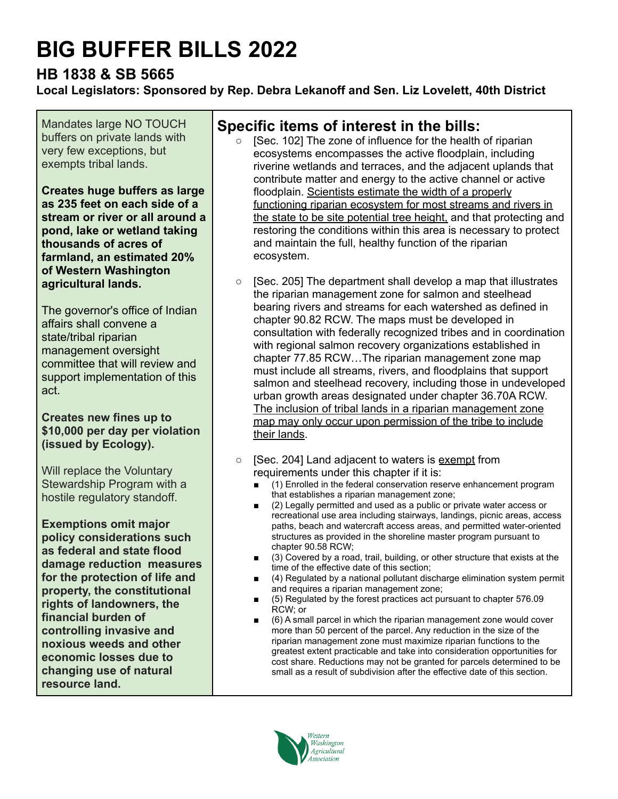# **BIG BUFFER BILLS 2022**

# **HB 1838 & SB 5665**

**Local Legislators: Sponsored by Rep. Debra Lekanoff and Sen. Liz Lovelett, 40th District**

Mandates large NO TOUCH buffers on private lands with very few exceptions, but exempts tribal lands.

**Creates huge buffers as large as 235 feet on each side of a stream or river or all around a pond, lake or wetland taking thousands of acres of farmland, an estimated 20% of Western Washington agricultural lands.**

The governor's office of Indian affairs shall convene a state/tribal riparian management oversight committee that will review and support implementation of this act.

#### **Creates new fines up to \$10,000 per day per violation (issued by Ecology).**

Will replace the Voluntary Stewardship Program with a hostile regulatory standoff.

**Exemptions omit major policy considerations such as federal and state flood damage reduction measures for the protection of life and property, the constitutional rights of landowners, the financial burden of controlling invasive and noxious weeds and other economic losses due to changing use of natural resource land.**

## **Specific items of interest in the bills:**

- ISec. 1021 The zone of influence for the health of riparian ecosystems encompasses the active floodplain, including riverine wetlands and terraces, and the adjacent uplands that contribute matter and energy to the active channel or active floodplain. Scientists estimate the width of a properly functioning riparian ecosystem for most streams and rivers in the state to be site potential tree height, and that protecting and restoring the conditions within this area is necessary to protect and maintain the full, healthy function of the riparian ecosystem.
- [Sec. 205] The department shall develop a map that illustrates the riparian management zone for salmon and steelhead bearing rivers and streams for each watershed as defined in chapter 90.82 RCW. The maps must be developed in consultation with federally recognized tribes and in coordination with regional salmon recovery organizations established in chapter 77.85 RCW…The riparian management zone map must include all streams, rivers, and floodplains that support salmon and steelhead recovery, including those in undeveloped urban growth areas designated under chapter 36.70A RCW. The inclusion of tribal lands in a riparian management zone map may only occur upon permission of the tribe to include their lands.
- [Sec. 204] Land adjacent to waters is exempt from requirements under this chapter if it is:
	- (1) Enrolled in the federal conservation reserve enhancement program that establishes a riparian management zone;
	- (2) Legally permitted and used as a public or private water access or recreational use area including stairways, landings, picnic areas, access paths, beach and watercraft access areas, and permitted water-oriented structures as provided in the shoreline master program pursuant to chapter 90.58 RCW;
	- (3) Covered by a road, trail, building, or other structure that exists at the time of the effective date of this section;
	- (4) Regulated by a national pollutant discharge elimination system permit and requires a riparian management zone;
	- (5) Regulated by the forest practices act pursuant to chapter 576.09 RCW; or
	- (6) A small parcel in which the riparian management zone would cover more than 50 percent of the parcel. Any reduction in the size of the riparian management zone must maximize riparian functions to the greatest extent practicable and take into consideration opportunities for cost share. Reductions may not be granted for parcels determined to be small as a result of subdivision after the effective date of this section.